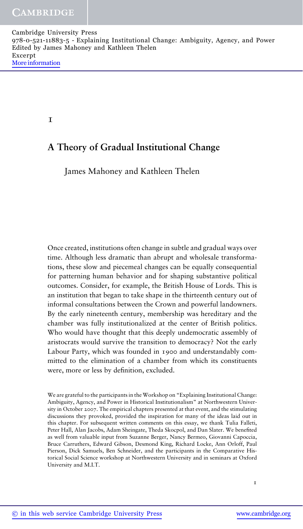Cambridge University Press 978-0-521-11883-5 - Explaining Institutional Change: Ambiguity, Agency, and Power Edited by James Mahoney and Kathleen Thelen Excerpt [More information](http://www.cambridge.org/9780521118835)

1

# **A Theory of Gradual Institutional Change**

James Mahoney and Kathleen Thelen

Once created, institutions often change in subtle and gradual ways over time. Although less dramatic than abrupt and wholesale transformations, these slow and piecemeal changes can be equally consequential for patterning human behavior and for shaping substantive political outcomes. Consider, for example, the British House of Lords. This is an institution that began to take shape in the thirteenth century out of informal consultations between the Crown and powerful landowners. By the early nineteenth century, membership was hereditary and the chamber was fully institutionalized at the center of British politics. Who would have thought that this deeply undemocratic assembly of aristocrats would survive the transition to democracy? Not the early Labour Party, which was founded in 1900 and understandably committed to the elimination of a chamber from which its constituents were, more or less by definition, excluded.

We are grateful to the participants in the Workshop on "Explaining Institutional Change: Ambiguity, Agency, and Power in Historical Institutionalism" at Northwestern University in October 2007. The empirical chapters presented at that event, and the stimulating discussions they provoked, provided the inspiration for many of the ideas laid out in this chapter. For subsequent written comments on this essay, we thank Tulia Falleti, Peter Hall, Alan Jacobs, Adam Sheingate, Theda Skocpol, and Dan Slater. We benefited as well from valuable input from Suzanne Berger, Nancy Bermeo, Giovanni Capoccia, Bruce Carruthers, Edward Gibson, Desmond King, Richard Locke, Ann Orloff, Paul Pierson, Dick Samuels, Ben Schneider, and the participants in the Comparative Historical Social Science workshop at Northwestern University and in seminars at Oxford University and M.I.T.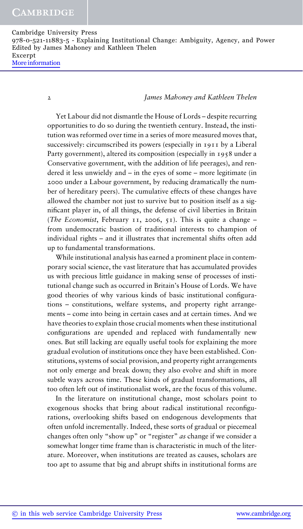978-0-521-11883-5 - Explaining Institutional Change: Ambiguity, Agency, and Power Edited by James Mahoney and Kathleen Thelen Excerpt [More information](http://www.cambridge.org/9780521118835)

2 *James Mahoney and Kathleen Thelen*

Yet Labour did not dismantle the House of Lords – despite recurring opportunities to do so during the twentieth century. Instead, the institution was reformed over time in a series of more measured moves that, successively: circumscribed its powers (especially in 1911 by a Liberal Party government), altered its composition (especially in 1958 under a Conservative government, with the addition of life peerages), and rendered it less unwieldy and – in the eyes of some – more legitimate (in 2000 under a Labour government, by reducing dramatically the number of hereditary peers). The cumulative effects of these changes have allowed the chamber not just to survive but to position itself as a significant player in, of all things, the defense of civil liberties in Britain (*The Economist*, February 11, 2006, 51). This is quite a change – from undemocratic bastion of traditional interests to champion of individual rights – and it illustrates that incremental shifts often add up to fundamental transformations.

While institutional analysis has earned a prominent place in contemporary social science, the vast literature that has accumulated provides us with precious little guidance in making sense of processes of institutional change such as occurred in Britain's House of Lords. We have good theories of why various kinds of basic institutional configurations – constitutions, welfare systems, and property right arrangements – come into being in certain cases and at certain times. And we have theories to explain those crucial moments when these institutional configurations are upended and replaced with fundamentally new ones. But still lacking are equally useful tools for explaining the more gradual evolution of institutions once they have been established. Constitutions, systems of social provision, and property right arrangements not only emerge and break down; they also evolve and shift in more subtle ways across time. These kinds of gradual transformations, all too often left out of institutionalist work, are the focus of this volume.

In the literature on institutional change, most scholars point to exogenous shocks that bring about radical institutional reconfigurations, overlooking shifts based on endogenous developments that often unfold incrementally. Indeed, these sorts of gradual or piecemeal changes often only "show up" or "register" *as* change if we consider a somewhat longer time frame than is characteristic in much of the literature. Moreover, when institutions are treated as causes, scholars are too apt to assume that big and abrupt shifts in institutional forms are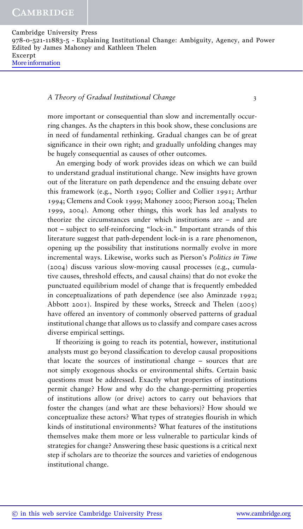978-0-521-11883-5 - Explaining Institutional Change: Ambiguity, Agency, and Power Edited by James Mahoney and Kathleen Thelen Excerpt [More information](http://www.cambridge.org/9780521118835)

#### *A Theory of Gradual Institutional Change* 3

more important or consequential than slow and incrementally occurring changes. As the chapters in this book show, these conclusions are in need of fundamental rethinking. Gradual changes can be of great significance in their own right; and gradually unfolding changes may be hugely consequential as causes of other outcomes.

An emerging body of work provides ideas on which we can build to understand gradual institutional change. New insights have grown out of the literature on path dependence and the ensuing debate over this framework (e.g., North 1990; Collier and Collier 1991; Arthur 1994; Clemens and Cook 1999; Mahoney 2000; Pierson 2004; Thelen 1999, 2004). Among other things, this work has led analysts to theorize the circumstances under which institutions are – and are not – subject to self-reinforcing "lock-in." Important strands of this literature suggest that path-dependent lock-in is a rare phenomenon, opening up the possibility that institutions normally evolve in more incremental ways. Likewise, works such as Pierson's *Politics in Time* (2004) discuss various slow-moving causal processes (e.g., cumulative causes, threshold effects, and causal chains) that do not evoke the punctuated equilibrium model of change that is frequently embedded in conceptualizations of path dependence (see also Aminzade 1992; Abbott 2001). Inspired by these works, Streeck and Thelen  $(2005)$ have offered an inventory of commonly observed patterns of gradual institutional change that allows us to classify and compare cases across diverse empirical settings.

If theorizing is going to reach its potential, however, institutional analysts must go beyond classification to develop causal propositions that locate the sources of institutional change – sources that are not simply exogenous shocks or environmental shifts. Certain basic questions must be addressed. Exactly what properties of institutions permit change? How and why do the change-permitting properties of institutions allow (or drive) actors to carry out behaviors that foster the changes (and what are these behaviors)? How should we conceptualize these actors? What types of strategies flourish in which kinds of institutional environments? What features of the institutions themselves make them more or less vulnerable to particular kinds of strategies for change? Answering these basic questions is a critical next step if scholars are to theorize the sources and varieties of endogenous institutional change.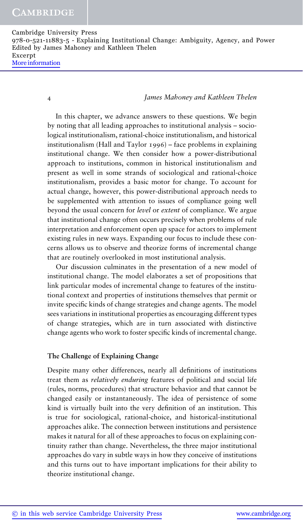978-0-521-11883-5 - Explaining Institutional Change: Ambiguity, Agency, and Power Edited by James Mahoney and Kathleen Thelen Excerpt [More information](http://www.cambridge.org/9780521118835)

4 *James Mahoney and Kathleen Thelen*

In this chapter, we advance answers to these questions. We begin by noting that all leading approaches to institutional analysis – sociological institutionalism, rational-choice institutionalism, and historical institutionalism (Hall and Taylor 1996) – face problems in explaining institutional change. We then consider how a power-distributional approach to institutions, common in historical institutionalism and present as well in some strands of sociological and rational-choice institutionalism, provides a basic motor for change. To account for actual change, however, this power-distributional approach needs to be supplemented with attention to issues of compliance going well beyond the usual concern for *level* or *extent* of compliance. We argue that institutional change often occurs precisely when problems of rule interpretation and enforcement open up space for actors to implement existing rules in new ways. Expanding our focus to include these concerns allows us to observe and theorize forms of incremental change that are routinely overlooked in most institutional analysis.

Our discussion culminates in the presentation of a new model of institutional change. The model elaborates a set of propositions that link particular modes of incremental change to features of the institutional context and properties of institutions themselves that permit or invite specific kinds of change strategies and change agents. The model sees variations in institutional properties as encouraging different types of change strategies, which are in turn associated with distinctive change agents who work to foster specific kinds of incremental change.

#### **The Challenge of Explaining Change**

Despite many other differences, nearly all definitions of institutions treat them as *relatively enduring* features of political and social life (rules, norms, procedures) that structure behavior and that cannot be changed easily or instantaneously. The idea of persistence of some kind is virtually built into the very definition of an institution. This is true for sociological, rational-choice, and historical-institutional approaches alike. The connection between institutions and persistence makes it natural for all of these approaches to focus on explaining continuity rather than change. Nevertheless, the three major institutional approaches do vary in subtle ways in how they conceive of institutions and this turns out to have important implications for their ability to theorize institutional change.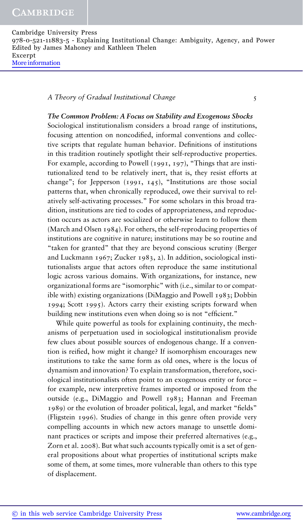978-0-521-11883-5 - Explaining Institutional Change: Ambiguity, Agency, and Power Edited by James Mahoney and Kathleen Thelen Excerpt [More information](http://www.cambridge.org/9780521118835)

## *A Theory of Gradual Institutional Change* 5

*The Common Problem: A Focus on Stability and Exogenous Shocks* Sociological institutionalism considers a broad range of institutions, focusing attention on noncodified, informal conventions and collective scripts that regulate human behavior. Definitions of institutions in this tradition routinely spotlight their self-reproductive properties. For example, according to Powell (1991, 197), "Things that are institutionalized tend to be relatively inert, that is, they resist efforts at change"; for Jepperson (1991, 145), "Institutions are those social patterns that, when chronically reproduced, owe their survival to relatively self-activating processes." For some scholars in this broad tradition, institutions are tied to codes of appropriateness, and reproduction occurs as actors are socialized or otherwise learn to follow them (March and Olsen 1984). For others, the self-reproducing properties of institutions are cognitive in nature; institutions may be so routine and "taken for granted" that they are beyond conscious scrutiny (Berger and Luckmann 1967; Zucker 1983, 2). In addition, sociological institutionalists argue that actors often reproduce the same institutional logic across various domains. With organizations, for instance, new organizational forms are "isomorphic" with (i.e., similar to or compatible with) existing organizations (DiMaggio and Powell 1983; Dobbin 1994; Scott 1995). Actors carry their existing scripts forward when building new institutions even when doing so is not "efficient."

While quite powerful as tools for explaining continuity, the mechanisms of perpetuation used in sociological institutionalism provide few clues about possible sources of endogenous change. If a convention is reified, how might it change? If isomorphism encourages new institutions to take the same form as old ones, where is the locus of dynamism and innovation? To explain transformation, therefore, sociological institutionalists often point to an exogenous entity or force – for example, new interpretive frames imported or imposed from the outside (e.g., DiMaggio and Powell 1983; Hannan and Freeman 1989) or the evolution of broader political, legal, and market "fields" (Fligstein 1996). Studies of change in this genre often provide very compelling accounts in which new actors manage to unsettle dominant practices or scripts and impose their preferred alternatives (e.g., Zorn et al. 2008). But what such accounts typically omit is a set of general propositions about what properties of institutional scripts make some of them, at some times, more vulnerable than others to this type of displacement.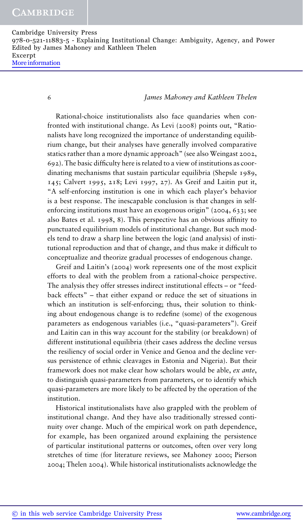978-0-521-11883-5 - Explaining Institutional Change: Ambiguity, Agency, and Power Edited by James Mahoney and Kathleen Thelen Excerpt [More information](http://www.cambridge.org/9780521118835)

6 *James Mahoney and Kathleen Thelen*

Rational-choice institutionalists also face quandaries when confronted with institutional change. As Levi (2008) points out, "Rationalists have long recognized the importance of understanding equilibrium change, but their analyses have generally involved comparative statics rather than a more dynamic approach" (see also Weingast 2002, 692). The basic difficulty here is related to a view of institutions as coordinating mechanisms that sustain particular equilibria (Shepsle 1989, 145; Calvert 1995, 218; Levi 1997, 27). As Greif and Laitin put it, "A self-enforcing institution is one in which each player's behavior is a best response. The inescapable conclusion is that changes in selfenforcing institutions must have an exogenous origin" (2004, 633; see also Bates et al. 1998, 8). This perspective has an obvious affinity to punctuated equilibrium models of institutional change. But such models tend to draw a sharp line between the logic (and analysis) of institutional reproduction and that of change, and thus make it difficult to conceptualize and theorize gradual processes of endogenous change.

Greif and Laitin's (2004) work represents one of the most explicit efforts to deal with the problem from a rational-choice perspective. The analysis they offer stresses indirect institutional effects – or "feedback effects" – that either expand or reduce the set of situations in which an institution is self-enforcing; thus, their solution to thinking about endogenous change is to redefine (some) of the exogenous parameters as endogenous variables (i.e., "quasi-parameters"). Greif and Laitin can in this way account for the stability (or breakdown) of different institutional equilibria (their cases address the decline versus the resiliency of social order in Venice and Genoa and the decline versus persistence of ethnic cleavages in Estonia and Nigeria). But their framework does not make clear how scholars would be able, *ex ante*, to distinguish quasi-parameters from parameters, or to identify which quasi-parameters are more likely to be affected by the operation of the institution.

Historical institutionalists have also grappled with the problem of institutional change. And they have also traditionally stressed continuity over change. Much of the empirical work on path dependence, for example, has been organized around explaining the persistence of particular institutional patterns or outcomes, often over very long stretches of time (for literature reviews, see Mahoney 2000; Pierson 2004; Thelen 2004). While historical institutionalists acknowledge the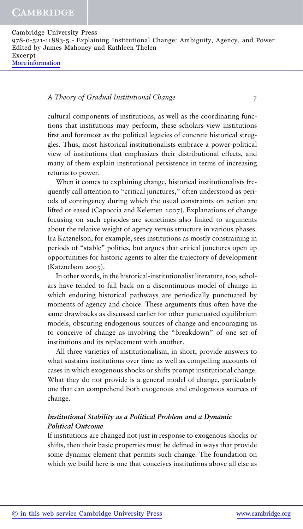978-0-521-11883-5 - Explaining Institutional Change: Ambiguity, Agency, and Power Edited by James Mahoney and Kathleen Thelen Excerpt [More information](http://www.cambridge.org/9780521118835)

#### *A Theory of Gradual Institutional Change*  $\frac{7}{7}$

cultural components of institutions, as well as the coordinating functions that institutions may perform, these scholars view institutions first and foremost as the political legacies of concrete historical struggles. Thus, most historical institutionalists embrace a power-political view of institutions that emphasizes their distributional effects, and many of them explain institutional persistence in terms of increasing returns to power.

When it comes to explaining change, historical institutionalists frequently call attention to "critical junctures," often understood as periods of contingency during which the usual constraints on action are lifted or eased (Capoccia and Kelemen 2007). Explanations of change focusing on such episodes are sometimes also linked to arguments about the relative weight of agency versus structure in various phases. Ira Katznelson, for example, sees institutions as mostly constraining in periods of "stable" politics, but argues that critical junctures open up opportunities for historic agents to alter the trajectory of development (Katznelson 2003).

In other words, in the historical-institutionalist literature, too, scholars have tended to fall back on a discontinuous model of change in which enduring historical pathways are periodically punctuated by moments of agency and choice. These arguments thus often have the same drawbacks as discussed earlier for other punctuated equilibrium models, obscuring endogenous sources of change and encouraging us to conceive of change as involving the "breakdown" of one set of institutions and its replacement with another.

All three varieties of institutionalism, in short, provide answers to what sustains institutions over time as well as compelling accounts of cases in which exogenous shocks or shifts prompt institutional change. What they do not provide is a general model of change, particularly one that can comprehend both exogenous and endogenous sources of change.

## *Institutional Stability as a Political Problem and a Dynamic Political Outcome*

If institutions are changed not just in response to exogenous shocks or shifts, then their basic properties must be defined in ways that provide some dynamic element that permits such change. The foundation on which we build here is one that conceives institutions above all else as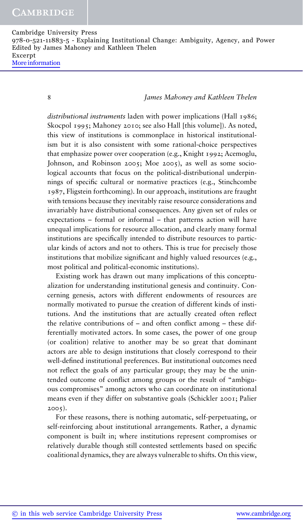978-0-521-11883-5 - Explaining Institutional Change: Ambiguity, Agency, and Power Edited by James Mahoney and Kathleen Thelen Excerpt [More information](http://www.cambridge.org/9780521118835)

8 *James Mahoney and Kathleen Thelen*

*distributional instruments* laden with power implications (Hall 1986; Skocpol 1995; Mahoney 2010; see also Hall [this volume]). As noted, this view of institutions is commonplace in historical institutionalism but it is also consistent with some rational-choice perspectives that emphasize power over cooperation (e.g., Knight 1992; Acemoglu, Johnson, and Robinson 2005; Moe 2005), as well as some sociological accounts that focus on the political-distributional underpinnings of specific cultural or normative practices (e.g., Stinchcombe 1987, Fligstein forthcoming). In our approach, institutions are fraught with tensions because they inevitably raise resource considerations and invariably have distributional consequences. Any given set of rules or expectations – formal or informal – that patterns action will have unequal implications for resource allocation, and clearly many formal institutions are specifically intended to distribute resources to particular kinds of actors and not to others. This is true for precisely those institutions that mobilize significant and highly valued resources (e.g., most political and political-economic institutions).

Existing work has drawn out many implications of this conceptualization for understanding institutional genesis and continuity. Concerning genesis, actors with different endowments of resources are normally motivated to pursue the creation of different kinds of institutions. And the institutions that are actually created often reflect the relative contributions of – and often conflict among – these differentially motivated actors. In some cases, the power of one group (or coalition) relative to another may be so great that dominant actors are able to design institutions that closely correspond to their well-defined institutional preferences. But institutional outcomes need not reflect the goals of any particular group; they may be the unintended outcome of conflict among groups or the result of "ambiguous compromises" among actors who can coordinate on institutional means even if they differ on substantive goals (Schickler 2001; Palier  $2005$ ).

For these reasons, there is nothing automatic, self-perpetuating, or self-reinforcing about institutional arrangements. Rather, a dynamic component is built in; where institutions represent compromises or relatively durable though still contested settlements based on specific coalitional dynamics, they are always vulnerable to shifts. On this view,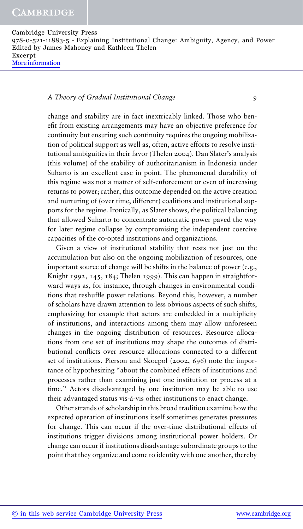### *A Theory of Gradual Institutional Change* 9

change and stability are in fact inextricably linked. Those who benefit from existing arrangements may have an objective preference for continuity but ensuring such continuity requires the ongoing mobilization of political support as well as, often, active efforts to resolve institutional ambiguities in their favor (Thelen 2004). Dan Slater's analysis (this volume) of the stability of authoritarianism in Indonesia under Suharto is an excellent case in point. The phenomenal durability of this regime was not a matter of self-enforcement or even of increasing returns to power; rather, this outcome depended on the active creation and nurturing of (over time, different) coalitions and institutional supports for the regime. Ironically, as Slater shows, the political balancing that allowed Suharto to concentrate autocratic power paved the way for later regime collapse by compromising the independent coercive capacities of the co-opted institutions and organizations.

Given a view of institutional stability that rests not just on the accumulation but also on the ongoing mobilization of resources, one important source of change will be shifts in the balance of power (e.g., Knight 1992, 145, 184; Thelen 1999). This can happen in straightforward ways as, for instance, through changes in environmental conditions that reshuffle power relations. Beyond this, however, a number of scholars have drawn attention to less obvious aspects of such shifts, emphasizing for example that actors are embedded in a multiplicity of institutions, and interactions among them may allow unforeseen changes in the ongoing distribution of resources. Resource allocations from one set of institutions may shape the outcomes of distributional conflicts over resource allocations connected to a different set of institutions. Pierson and Skocpol (2002, 696) note the importance of hypothesizing "about the combined effects of institutions and processes rather than examining just one institution or process at a time." Actors disadvantaged by one institution may be able to use their advantaged status vis-à-vis other institutions to enact change.

Other strands of scholarship in this broad tradition examine how the expected operation of institutions itself sometimes generates pressures for change. This can occur if the over-time distributional effects of institutions trigger divisions among institutional power holders. Or change can occur if institutions disadvantage subordinate groups to the point that they organize and come to identity with one another, thereby